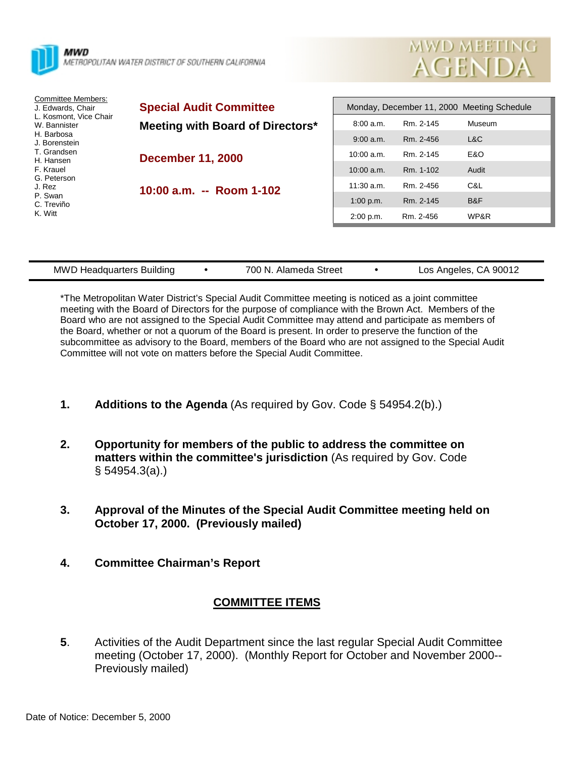

| Los Angeles, CA 90012<br>700 N. Alameda Street<br><b>MWD Headquarters Building</b> |  |
|------------------------------------------------------------------------------------|--|
|------------------------------------------------------------------------------------|--|

\*The Metropolitan Water District's Special Audit Committee meeting is noticed as a joint committee meeting with the Board of Directors for the purpose of compliance with the Brown Act. Members of the Board who are not assigned to the Special Audit Committee may attend and participate as members of the Board, whether or not a quorum of the Board is present. In order to preserve the function of the subcommittee as advisory to the Board, members of the Board who are not assigned to the Special Audit Committee will not vote on matters before the Special Audit Committee.

- **1. Additions to the Agenda** (As required by Gov. Code § 54954.2(b).)
- **2. Opportunity for members of the public to address the committee on matters within the committee's jurisdiction** (As required by Gov. Code § 54954.3(a).)
- **3. Approval of the Minutes of the Special Audit Committee meeting held on October 17, 2000. (Previously mailed)**
- **4. Committee Chairman's Report**

## **COMMITTEE ITEMS**

**5**. Activities of the Audit Department since the last regular Special Audit Committee meeting (October 17, 2000). (Monthly Report for October and November 2000-- Previously mailed)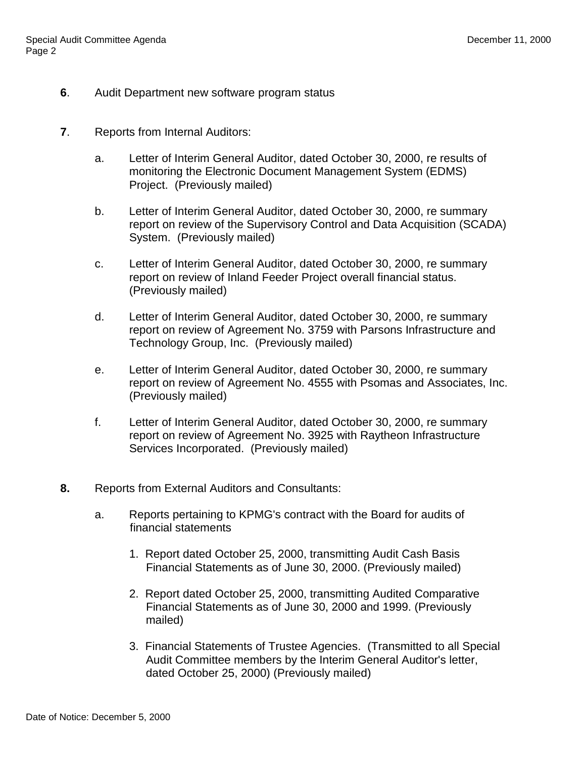- **6**. Audit Department new software program status
- **7**. Reports from Internal Auditors:
	- a. Letter of Interim General Auditor, dated October 30, 2000, re results of monitoring the Electronic Document Management System (EDMS) Project. (Previously mailed)
	- b. Letter of Interim General Auditor, dated October 30, 2000, re summary report on review of the Supervisory Control and Data Acquisition (SCADA) System. (Previously mailed)
	- c. Letter of Interim General Auditor, dated October 30, 2000, re summary report on review of Inland Feeder Project overall financial status. (Previously mailed)
	- d. Letter of Interim General Auditor, dated October 30, 2000, re summary report on review of Agreement No. 3759 with Parsons Infrastructure and Technology Group, Inc. (Previously mailed)
	- e. Letter of Interim General Auditor, dated October 30, 2000, re summary report on review of Agreement No. 4555 with Psomas and Associates, Inc. (Previously mailed)
	- f. Letter of Interim General Auditor, dated October 30, 2000, re summary report on review of Agreement No. 3925 with Raytheon Infrastructure Services Incorporated. (Previously mailed)
- **8.** Reports from External Auditors and Consultants:
	- a. Reports pertaining to KPMG's contract with the Board for audits of financial statements
		- 1. Report dated October 25, 2000, transmitting Audit Cash Basis Financial Statements as of June 30, 2000. (Previously mailed)
		- 2. Report dated October 25, 2000, transmitting Audited Comparative Financial Statements as of June 30, 2000 and 1999. (Previously mailed)
		- 3. Financial Statements of Trustee Agencies. (Transmitted to all Special Audit Committee members by the Interim General Auditor's letter, dated October 25, 2000) (Previously mailed)